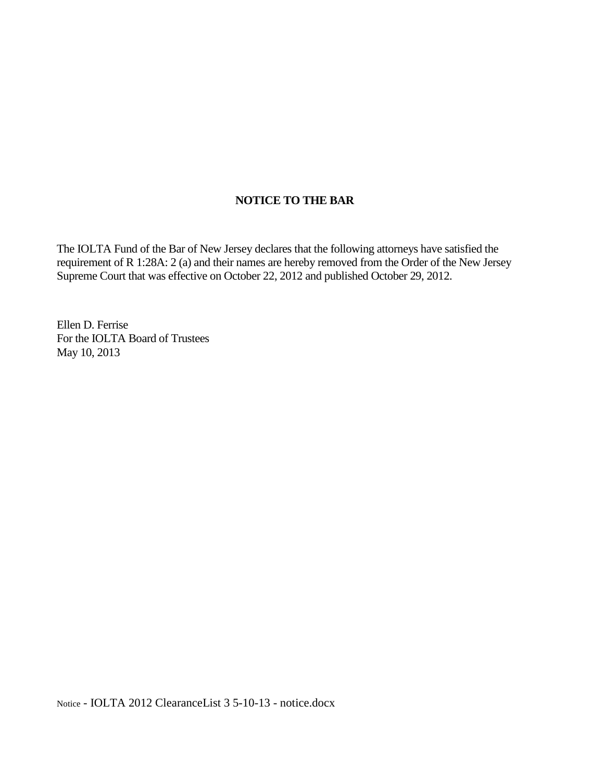## **NOTICE TO THE BAR**

The IOLTA Fund of the Bar of New Jersey declares that the following attorneys have satisfied the requirement of R 1:28A: 2 (a) and their names are hereby removed from the Order of the New Jersey Supreme Court that was effective on October 22, 2012 and published October 29, 2012.

Ellen D. Ferrise For the IOLTA Board of Trustees May 10, 2013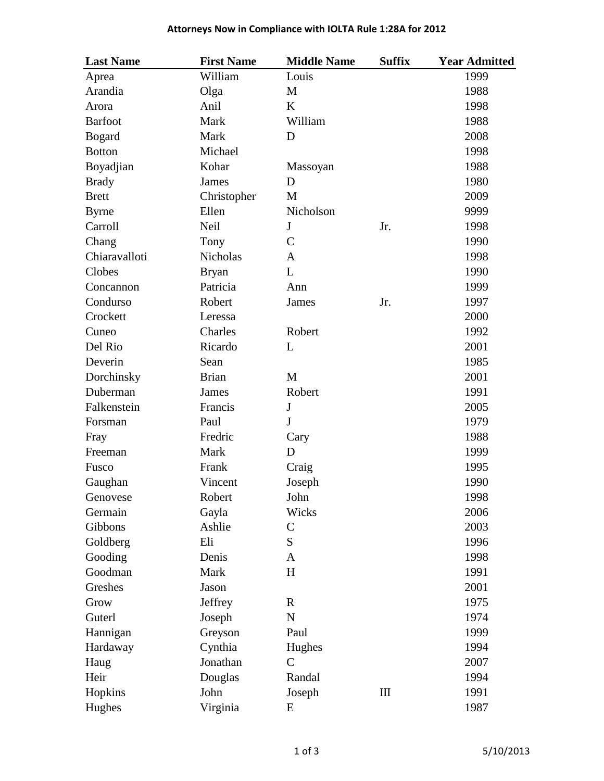## **Attorneys Now in Compliance with IOLTA Rule 1:28A for 2012**

| <b>Last Name</b> | <b>First Name</b> | <b>Middle Name</b> | <b>Suffix</b> | <b>Year Admitted</b> |
|------------------|-------------------|--------------------|---------------|----------------------|
| Aprea            | William           | Louis              |               | 1999                 |
| Arandia          | Olga              | M                  |               | 1988                 |
| Arora            | Anil              | K                  |               | 1998                 |
| <b>Barfoot</b>   | Mark              | William            |               | 1988                 |
| <b>Bogard</b>    | Mark              | D                  |               | 2008                 |
| <b>Botton</b>    | Michael           |                    |               | 1998                 |
| Boyadjian        | Kohar             | Massoyan           |               | 1988                 |
| <b>Brady</b>     | <b>James</b>      | D                  |               | 1980                 |
| <b>Brett</b>     | Christopher       | M                  |               | 2009                 |
| <b>Byrne</b>     | Ellen             | Nicholson          |               | 9999                 |
| Carroll          | <b>Neil</b>       | $\mathbf{J}$       | Jr.           | 1998                 |
| Chang            | Tony              | $\mathcal{C}$      |               | 1990                 |
| Chiaravalloti    | Nicholas          | A                  |               | 1998                 |
| Clobes           | <b>Bryan</b>      | L                  |               | 1990                 |
| Concannon        | Patricia          | Ann                |               | 1999                 |
| Condurso         | Robert            | James              | Jr.           | 1997                 |
| Crockett         | Leressa           |                    |               | 2000                 |
| Cuneo            | Charles           | Robert             |               | 1992                 |
| Del Rio          | Ricardo           | L                  |               | 2001                 |
| Deverin          | Sean              |                    |               | 1985                 |
| Dorchinsky       | <b>Brian</b>      | M                  |               | 2001                 |
| Duberman         | James             | Robert             |               | 1991                 |
| Falkenstein      | Francis           | $\bf J$            |               | 2005                 |
| Forsman          | Paul              | $\mathbf{J}$       |               | 1979                 |
| Fray             | Fredric           | Cary               |               | 1988                 |
| Freeman          | Mark              | D                  |               | 1999                 |
| Fusco            | Frank             | Craig              |               | 1995                 |
| Gaughan          | Vincent           | Joseph             |               | 1990                 |
| Genovese         | Robert            | John               |               | 1998                 |
| Germain          | Gayla             | Wicks              |               | 2006                 |
| Gibbons          | Ashlie            | $\mathsf{C}$       |               | 2003                 |
| Goldberg         | Eli               | S                  |               | 1996                 |
| Gooding          | Denis             | A                  |               | 1998                 |
| Goodman          | Mark              | H                  |               | 1991                 |
| Greshes          | Jason             |                    |               | 2001                 |
| Grow             | Jeffrey           | $\mathbf R$        |               | 1975                 |
| Guterl           | Joseph            | ${\bf N}$          |               | 1974                 |
| Hannigan         | Greyson           | Paul               |               | 1999                 |
| Hardaway         | Cynthia           | Hughes             |               | 1994                 |
| Haug             | Jonathan          | $\mathcal{C}$      |               | 2007                 |
| Heir             | Douglas           | Randal             |               | 1994                 |
| Hopkins          | John              | Joseph             | Ш             | 1991                 |
| Hughes           | Virginia          | E                  |               | 1987                 |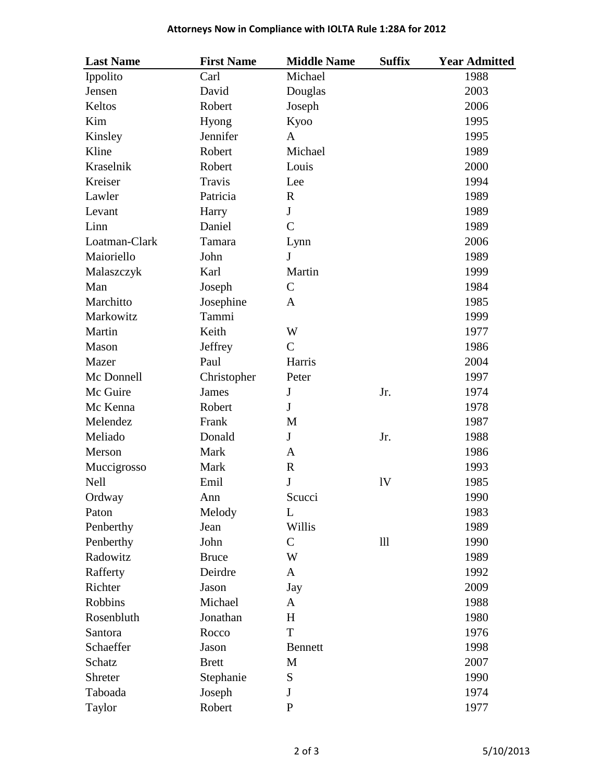## **Attorneys Now in Compliance with IOLTA Rule 1:28A for 2012**

| <b>Last Name</b> | <b>First Name</b> | <b>Middle Name</b> | <b>Suffix</b> | <b>Year Admitted</b> |
|------------------|-------------------|--------------------|---------------|----------------------|
| Ippolito         | Carl              | Michael            |               | 1988                 |
| Jensen           | David             | Douglas            |               | 2003                 |
| Keltos           | Robert            | Joseph             |               | 2006                 |
| Kim              | <b>Hyong</b>      | Kyoo               |               | 1995                 |
| Kinsley          | Jennifer          | A                  |               | 1995                 |
| Kline            | Robert            | Michael            |               | 1989                 |
| Kraselnik        | Robert            | Louis              |               | 2000                 |
| Kreiser          | Travis            | Lee                |               | 1994                 |
| Lawler           | Patricia          | $\mathbf R$        |               | 1989                 |
| Levant           | Harry             | $\mathbf{J}$       |               | 1989                 |
| Linn             | Daniel            | $\mathsf{C}$       |               | 1989                 |
| Loatman-Clark    | Tamara            | Lynn               |               | 2006                 |
| Maioriello       | John              | J                  |               | 1989                 |
| Malaszczyk       | Karl              | Martin             |               | 1999                 |
| Man              | Joseph            | $\mathsf{C}$       |               | 1984                 |
| Marchitto        | Josephine         | A                  |               | 1985                 |
| Markowitz        | Tammi             |                    |               | 1999                 |
| Martin           | Keith             | W                  |               | 1977                 |
| Mason            | Jeffrey           | $\mathcal{C}$      |               | 1986                 |
| Mazer            | Paul              | Harris             |               | 2004                 |
| Mc Donnell       | Christopher       | Peter              |               | 1997                 |
| Mc Guire         | <b>James</b>      | J                  | Jr.           | 1974                 |
| Mc Kenna         | Robert            | J                  |               | 1978                 |
| Melendez         | Frank             | M                  |               | 1987                 |
| Meliado          | Donald            | J                  | Jr.           | 1988                 |
| Merson           | Mark              | A                  |               | 1986                 |
| Muccigrosso      | Mark              | $\mathbf R$        |               | 1993                 |
| <b>Nell</b>      | Emil              | ${\bf J}$          | 1V            | 1985                 |
| Ordway           | Ann               | Scucci             |               | 1990                 |
| Paton            | Melody            | L                  |               | 1983                 |
| Penberthy        | Jean              | Willis             |               | 1989                 |
| Penberthy        | John              | $\mathbf C$        | 111           | 1990                 |
| Radowitz         | <b>Bruce</b>      | W                  |               | 1989                 |
| Rafferty         | Deirdre           | A                  |               | 1992                 |
| Richter          | Jason             | Jay                |               | 2009                 |
| Robbins          | Michael           | A                  |               | 1988                 |
| Rosenbluth       | Jonathan          | H                  |               | 1980                 |
| Santora          | Rocco             | T                  |               | 1976                 |
| Schaeffer        | Jason             | <b>Bennett</b>     |               | 1998                 |
| Schatz           | <b>Brett</b>      | M                  |               | 2007                 |
| Shreter          | Stephanie         | S                  |               | 1990                 |
| Taboada          | Joseph            | $\mathbf{J}$       |               | 1974                 |
| Taylor           | Robert            | ${\bf P}$          |               | 1977                 |
|                  |                   |                    |               |                      |